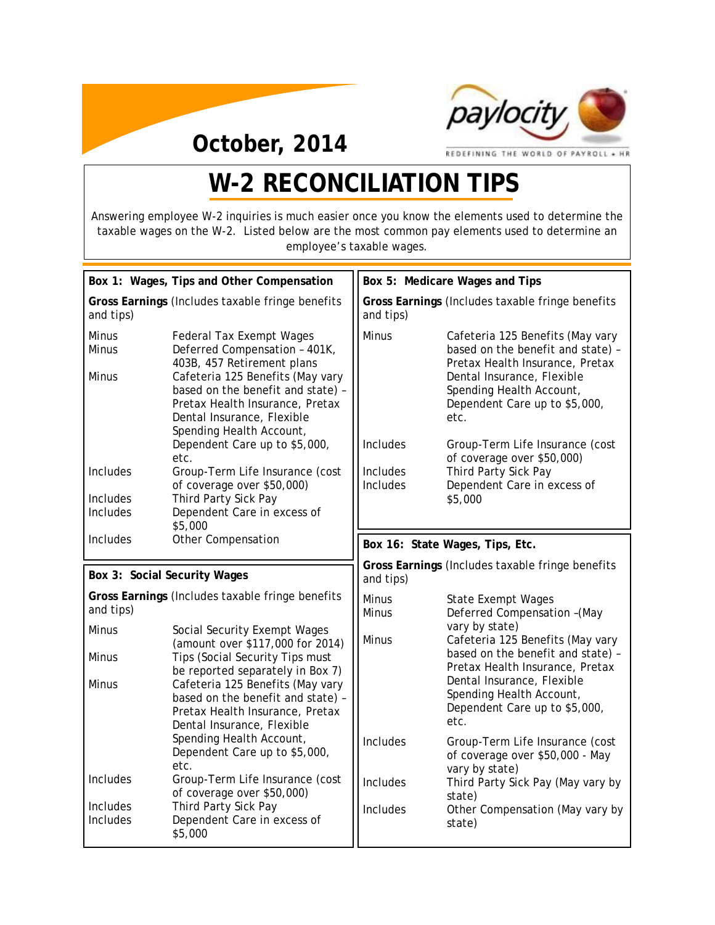

**October, 2014**

REDEFINING THE WORLD OF PAYROLL + HR

# **W-2 RECONCILIATION TIPS**

Answering employee W-2 inquiries is much easier once you know the elements used to determine the taxable wages on the W-2. Listed below are the most common pay elements used to determine an employee's taxable wages.

| Box 1: Wages, Tips and Other Compensation                     |                                                                                                                                                                                                                                                                                   | Box 5: Medicare Wages and Tips                                |                                                                                                                                                                                                                               |
|---------------------------------------------------------------|-----------------------------------------------------------------------------------------------------------------------------------------------------------------------------------------------------------------------------------------------------------------------------------|---------------------------------------------------------------|-------------------------------------------------------------------------------------------------------------------------------------------------------------------------------------------------------------------------------|
| Gross Earnings (Includes taxable fringe benefits<br>and tips) |                                                                                                                                                                                                                                                                                   | Gross Earnings (Includes taxable fringe benefits<br>and tips) |                                                                                                                                                                                                                               |
| Minus<br><b>Minus</b><br><b>Minus</b>                         | <b>Federal Tax Exempt Wages</b><br>Deferred Compensation - 401K,<br>403B, 457 Retirement plans<br>Cafeteria 125 Benefits (May vary<br>based on the benefit and state) -<br>Pretax Health Insurance, Pretax<br>Dental Insurance, Flexible<br>Spending Health Account,              | <b>Minus</b><br>Includes                                      | Cafeteria 125 Benefits (May vary<br>based on the benefit and state) -<br>Pretax Health Insurance, Pretax<br>Dental Insurance, Flexible<br>Spending Health Account,<br>Dependent Care up to \$5,000,<br>etc.                   |
| <b>Includes</b><br><b>Includes</b><br>Includes                | Dependent Care up to \$5,000,<br>etc.<br>Group-Term Life Insurance (cost<br>of coverage over \$50,000)<br>Third Party Sick Pay<br>Dependent Care in excess of<br>\$5,000                                                                                                          | Includes<br><b>Includes</b>                                   | Group-Term Life Insurance (cost<br>of coverage over \$50,000)<br>Third Party Sick Pay<br>Dependent Care in excess of<br>\$5,000                                                                                               |
| <b>Includes</b>                                               | <b>Other Compensation</b>                                                                                                                                                                                                                                                         |                                                               | Box 16: State Wages, Tips, Etc.                                                                                                                                                                                               |
| Box 3: Social Security Wages                                  |                                                                                                                                                                                                                                                                                   | Gross Earnings (Includes taxable fringe benefits<br>and tips) |                                                                                                                                                                                                                               |
|                                                               |                                                                                                                                                                                                                                                                                   |                                                               |                                                                                                                                                                                                                               |
| and tips)                                                     | Gross Earnings (Includes taxable fringe benefits                                                                                                                                                                                                                                  | Minus<br><b>Minus</b>                                         | <b>State Exempt Wages</b><br>Deferred Compensation - (May                                                                                                                                                                     |
| <b>Minus</b><br><b>Minus</b><br><b>Minus</b>                  | Social Security Exempt Wages<br>(amount over \$117,000 for 2014)<br>Tips (Social Security Tips must<br>be reported separately in Box 7)<br>Cafeteria 125 Benefits (May vary<br>based on the benefit and state) -<br>Pretax Health Insurance, Pretax<br>Dental Insurance, Flexible | Minus                                                         | vary by state)<br>Cafeteria 125 Benefits (May vary<br>based on the benefit and state) -<br>Pretax Health Insurance, Pretax<br>Dental Insurance, Flexible<br>Spending Health Account,<br>Dependent Care up to \$5,000,<br>etc. |
|                                                               | Spending Health Account,<br>Dependent Care up to \$5,000,<br>etc.                                                                                                                                                                                                                 | Includes                                                      | Group-Term Life Insurance (cost<br>of coverage over \$50,000 - May                                                                                                                                                            |
| Includes<br>Includes                                          | Group-Term Life Insurance (cost<br>of coverage over \$50,000)<br>Third Party Sick Pay                                                                                                                                                                                             | <b>Includes</b><br>Includes                                   | vary by state)<br>Third Party Sick Pay (May vary by<br>state)<br>Other Compensation (May vary by                                                                                                                              |